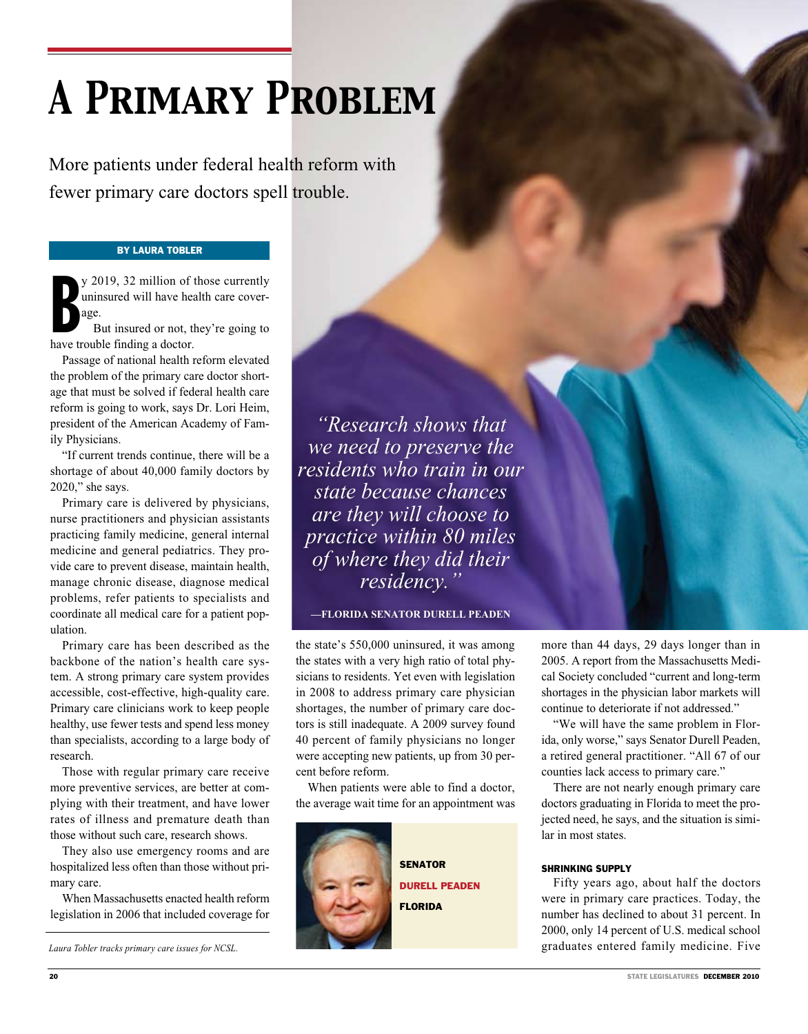# *A Primary Problem*

More patients under federal health reform with fewer primary care doctors spell trouble.

## By Laura Tobler

y 2019, 32 million of<br>uninsured will have head<br>age.<br>But insured or not, thave trouble finding a doctor. y 2019, 32 million of those currently uninsured will have health care coverage.

But insured or not, they're going to

Passage of national health reform elevated the problem of the primary care doctor shortage that must be solved if federal health care reform is going to work, says Dr. Lori Heim, president of the American Academy of Family Physicians.

"If current trends continue, there will be a shortage of about 40,000 family doctors by 2020," she says.

Primary care is delivered by physicians, nurse practitioners and physician assistants practicing family medicine, general internal medicine and general pediatrics. They provide care to prevent disease, maintain health, manage chronic disease, diagnose medical problems, refer patients to specialists and coordinate all medical care for a patient population.

Primary care has been described as the backbone of the nation's health care system. A strong primary care system provides accessible, cost-effective, high-quality care. Primary care clinicians work to keep people healthy, use fewer tests and spend less money than specialists, according to a large body of research.

Those with regular primary care receive more preventive services, are better at complying with their treatment, and have lower rates of illness and premature death than those without such care, research shows.

They also use emergency rooms and are hospitalized less often than those without primary care.

When Massachusetts enacted health reform legislation in 2006 that included coverage for

*"Research shows that we need to preserve the residents who train in our state because chances are they will choose to practice within 80 miles of where they did their residency."*

**—FLORIDA SENATOR DURELL PEADEN**

the state's 550,000 uninsured, it was among the states with a very high ratio of total physicians to residents. Yet even with legislation in 2008 to address primary care physician shortages, the number of primary care doctors is still inadequate. A 2009 survey found 40 percent of family physicians no longer were accepting new patients, up from 30 percent before reform.

When patients were able to find a doctor, the average wait time for an appointment was



more than 44 days, 29 days longer than in 2005. A report from the Massachusetts Medical Society concluded "current and long-term shortages in the physician labor markets will continue to deteriorate if not addressed."

"We will have the same problem in Florida, only worse," says Senator Durell Peaden, a retired general practitioner. "All 67 of our counties lack access to primary care."

There are not nearly enough primary care doctors graduating in Florida to meet the projected need, he says, and the situation is similar in most states.

#### SHRINKING SUPPLY

Fifty years ago, about half the doctors were in primary care practices. Today, the number has declined to about 31 percent. In 2000, only 14 percent of U.S. medical school *Laura Tobler tracks primary care issues for NCSL.* graduates entered family medicine. Five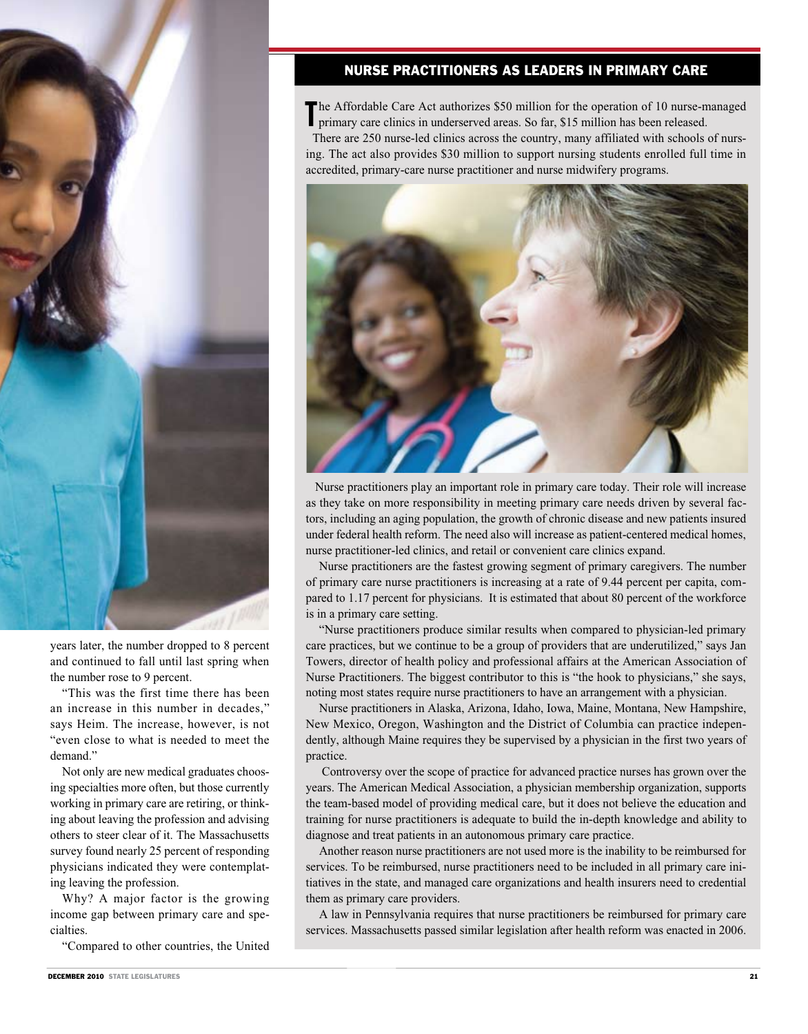

years later, the number dropped to 8 percent and continued to fall until last spring when the number rose to 9 percent.

"This was the first time there has been an increase in this number in decades," says Heim. The increase, however, is not "even close to what is needed to meet the demand."

Not only are new medical graduates choosing specialties more often, but those currently working in primary care are retiring, or thinking about leaving the profession and advising others to steer clear of it. The Massachusetts survey found nearly 25 percent of responding physicians indicated they were contemplating leaving the profession.

Why? A major factor is the growing income gap between primary care and specialties.

"Compared to other countries, the United

# Nurse Practitioners as Leaders in Primary Care

The Affordable Care Act authorizes \$50 million for the operation of 10 nurse-managed primary care clinics in underserved areas. So far, \$15 million has been released. primary care clinics in underserved areas. So far, \$15 million has been released.

 There are 250 nurse-led clinics across the country, many affiliated with schools of nursing. The act also provides \$30 million to support nursing students enrolled full time in accredited, primary-care nurse practitioner and nurse midwifery programs.



 Nurse practitioners play an important role in primary care today. Their role will increase as they take on more responsibility in meeting primary care needs driven by several factors, including an aging population, the growth of chronic disease and new patients insured under federal health reform. The need also will increase as patient-centered medical homes, nurse practitioner-led clinics, and retail or convenient care clinics expand.

Nurse practitioners are the fastest growing segment of primary caregivers. The number of primary care nurse practitioners is increasing at a rate of 9.44 percent per capita, compared to 1.17 percent for physicians. It is estimated that about 80 percent of the workforce is in a primary care setting.

"Nurse practitioners produce similar results when compared to physician-led primary care practices, but we continue to be a group of providers that are underutilized," says Jan Towers, director of health policy and professional affairs at the American Association of Nurse Practitioners. The biggest contributor to this is "the hook to physicians," she says, noting most states require nurse practitioners to have an arrangement with a physician.

Nurse practitioners in Alaska, Arizona, Idaho, Iowa, Maine, Montana, New Hampshire, New Mexico, Oregon, Washington and the District of Columbia can practice independently, although Maine requires they be supervised by a physician in the first two years of practice.

 Controversy over the scope of practice for advanced practice nurses has grown over the years. The American Medical Association, a physician membership organization, supports the team-based model of providing medical care, but it does not believe the education and training for nurse practitioners is adequate to build the in-depth knowledge and ability to diagnose and treat patients in an autonomous primary care practice.

Another reason nurse practitioners are not used more is the inability to be reimbursed for services. To be reimbursed, nurse practitioners need to be included in all primary care initiatives in the state, and managed care organizations and health insurers need to credential them as primary care providers.

A law in Pennsylvania requires that nurse practitioners be reimbursed for primary care services. Massachusetts passed similar legislation after health reform was enacted in 2006.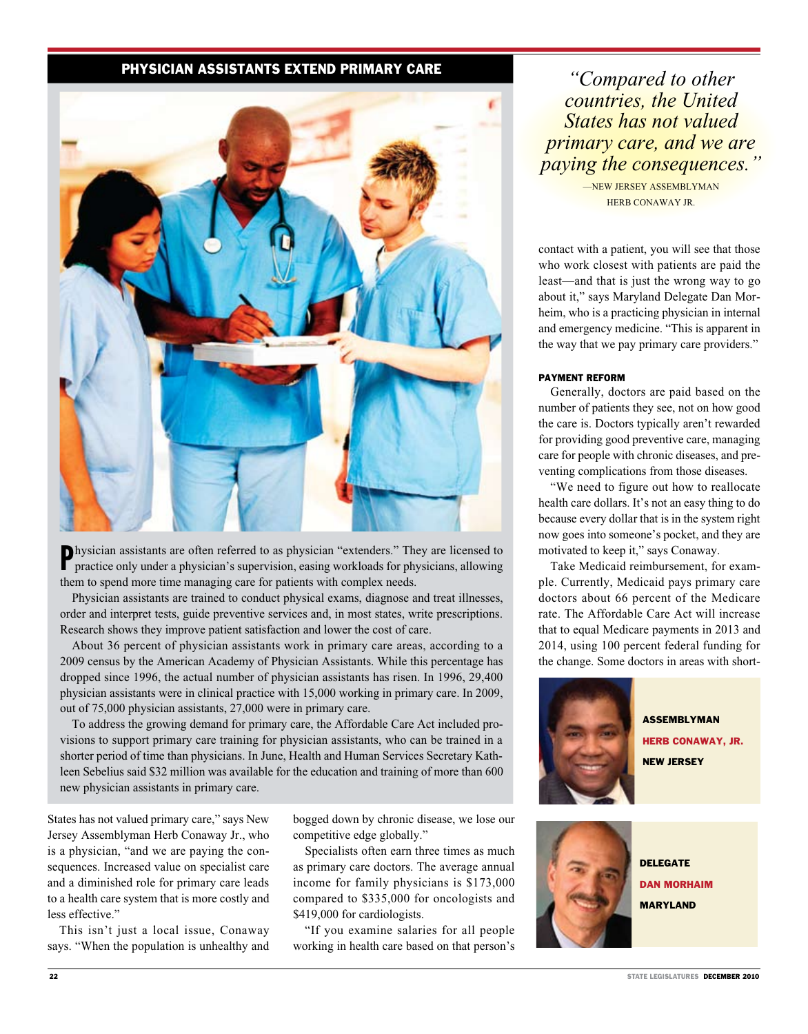# Physician Assistants Extend Primary Care



P hysician assistants are often referred to as physician "extenders." They are licensed to practice only under a physician's supervision, easing workloads for physicians, allowing them to spend more time managing care for patients with complex needs.

Physician assistants are trained to conduct physical exams, diagnose and treat illnesses, order and interpret tests, guide preventive services and, in most states, write prescriptions. Research shows they improve patient satisfaction and lower the cost of care.

About 36 percent of physician assistants work in primary care areas, according to a 2009 census by the American Academy of Physician Assistants. While this percentage has dropped since 1996, the actual number of physician assistants has risen. In 1996, 29,400 physician assistants were in clinical practice with 15,000 working in primary care. In 2009, out of 75,000 physician assistants, 27,000 were in primary care.

To address the growing demand for primary care, the Affordable Care Act included provisions to support primary care training for physician assistants, who can be trained in a shorter period of time than physicians. In June, Health and Human Services Secretary Kathleen Sebelius said \$32 million was available for the education and training of more than 600 new physician assistants in primary care.

States has not valued primary care," says New Jersey Assemblyman Herb Conaway Jr., who is a physician, "and we are paying the consequences. Increased value on specialist care and a diminished role for primary care leads to a health care system that is more costly and less effective."

This isn't just a local issue, Conaway says. "When the population is unhealthy and

bogged down by chronic disease, we lose our competitive edge globally."

Specialists often earn three times as much as primary care doctors. The average annual income for family physicians is \$173,000 compared to \$335,000 for oncologists and \$419,000 for cardiologists.

"If you examine salaries for all people working in health care based on that person's

*"Compared to other countries, the United States has not valued primary care, and we are paying the consequences."*

> —NEW JERSEY ASSEMBLYMAN HERB CONAWAY JR.

contact with a patient, you will see that those who work closest with patients are paid the least—and that is just the wrong way to go about it," says Maryland Delegate Dan Morheim, who is a practicing physician in internal and emergency medicine. "This is apparent in the way that we pay primary care providers."

### PAYMENT REFORM

Generally, doctors are paid based on the number of patients they see, not on how good the care is. Doctors typically aren't rewarded for providing good preventive care, managing care for people with chronic diseases, and preventing complications from those diseases.

"We need to figure out how to reallocate health care dollars. It's not an easy thing to do because every dollar that is in the system right now goes into someone's pocket, and they are motivated to keep it," says Conaway.

Take Medicaid reimbursement, for example. Currently, Medicaid pays primary care doctors about 66 percent of the Medicare rate. The Affordable Care Act will increase that to equal Medicare payments in 2013 and 2014, using 100 percent federal funding for the change. Some doctors in areas with short-



**ASSEMBLYMAN HERB CONAWAY, JR.** new jersey



delegate dan morhAim maryland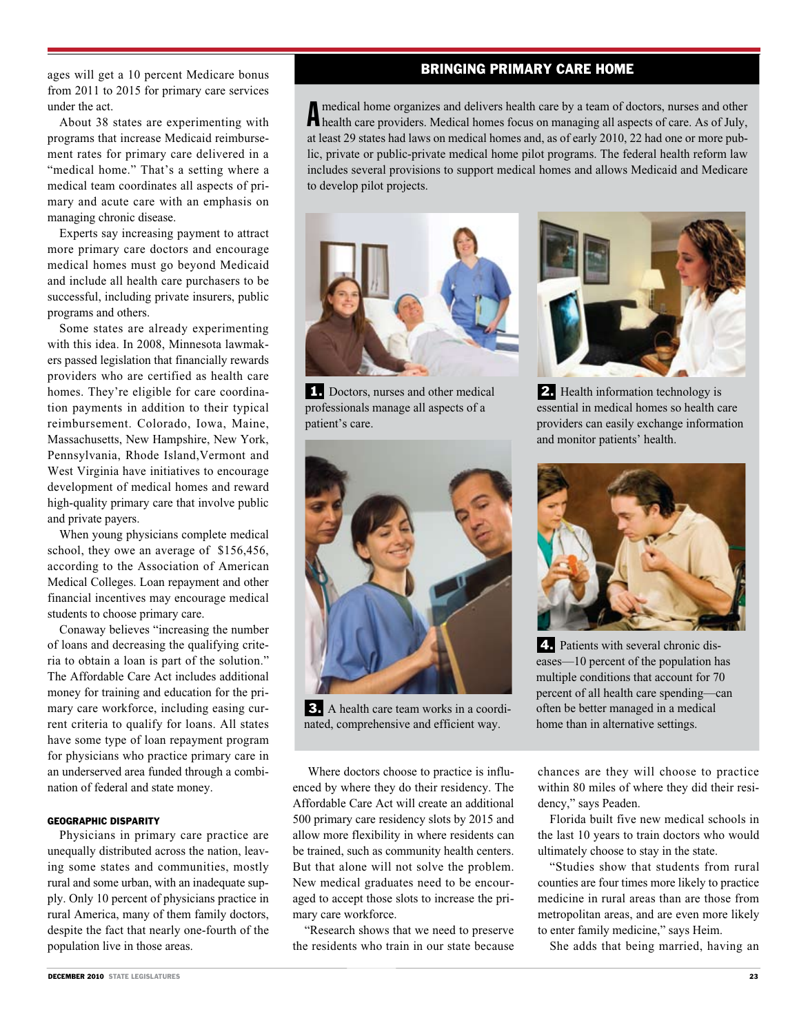ages will get a 10 percent Medicare bonus from 2011 to 2015 for primary care services under the act.

About 38 states are experimenting with programs that increase Medicaid reimbursement rates for primary care delivered in a "medical home." That's a setting where a medical team coordinates all aspects of primary and acute care with an emphasis on managing chronic disease.

Experts say increasing payment to attract more primary care doctors and encourage medical homes must go beyond Medicaid and include all health care purchasers to be successful, including private insurers, public programs and others.

Some states are already experimenting with this idea. In 2008, Minnesota lawmakers passed legislation that financially rewards providers who are certified as health care homes. They're eligible for care coordination payments in addition to their typical reimbursement. Colorado, Iowa, Maine, Massachusetts, New Hampshire, New York, Pennsylvania, Rhode Island,Vermont and West Virginia have initiatives to encourage development of medical homes and reward high-quality primary care that involve public and private payers.

When young physicians complete medical school, they owe an average of \$156,456, according to the Association of American Medical Colleges. Loan repayment and other financial incentives may encourage medical students to choose primary care.

Conaway believes "increasing the number of loans and decreasing the qualifying criteria to obtain a loan is part of the solution." The Affordable Care Act includes additional money for training and education for the primary care workforce, including easing current criteria to qualify for loans. All states have some type of loan repayment program for physicians who practice primary care in an underserved area funded through a combination of federal and state money.

## GEOGRAPHIC DISPARITY

Physicians in primary care practice are unequally distributed across the nation, leaving some states and communities, mostly rural and some urban, with an inadequate supply. Only 10 percent of physicians practice in rural America, many of them family doctors, despite the fact that nearly one-fourth of the population live in those areas.

# Bringing Primary Care Home

A medical home organizes and delivers health care by a team of doctors, nurses and other health care providers. Medical homes focus on managing all aspects of care. As of July, medical home organizes and delivers health care by a team of doctors, nurses and other at least 29 states had laws on medical homes and, as of early 2010, 22 had one or more public, private or public-private medical home pilot programs. The federal health reform law includes several provisions to support medical homes and allows Medicaid and Medicare to develop pilot projects.



1. Doctors, nurses and other medical professionals manage all aspects of a patient's care.



2. Health information technology is essential in medical homes so health care providers can easily exchange information and monitor patients' health.



 3. A health care team works in a coordinated, comprehensive and efficient way.



 4. Patients with several chronic diseases—10 percent of the population has multiple conditions that account for 70 percent of all health care spending—can often be better managed in a medical home than in alternative settings.

 Where doctors choose to practice is influenced by where they do their residency. The Affordable Care Act will create an additional 500 primary care residency slots by 2015 and allow more flexibility in where residents can be trained, such as community health centers. But that alone will not solve the problem. New medical graduates need to be encouraged to accept those slots to increase the primary care workforce.

"Research shows that we need to preserve the residents who train in our state because chances are they will choose to practice within 80 miles of where they did their residency," says Peaden.

Florida built five new medical schools in the last 10 years to train doctors who would ultimately choose to stay in the state.

"Studies show that students from rural counties are four times more likely to practice medicine in rural areas than are those from metropolitan areas, and are even more likely to enter family medicine," says Heim.

She adds that being married, having an